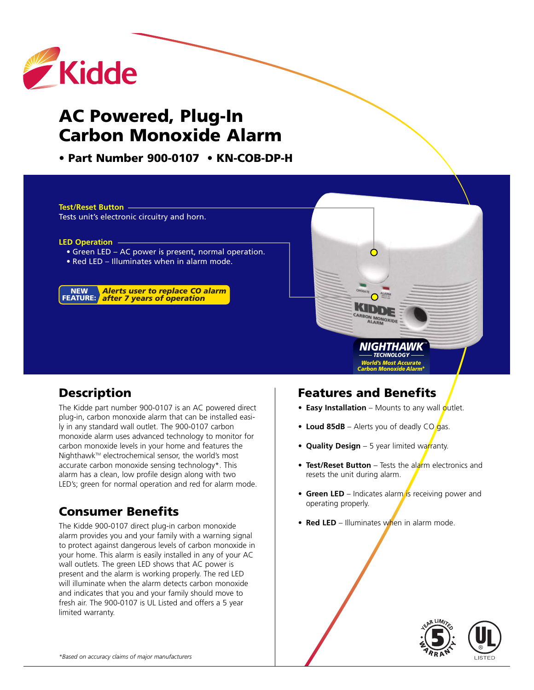

# **AC Powered, Plug-In Carbon Monoxide Alarm**

**• Part Number 900-0107 • KN-COB-DP-H**

**Test/Reset Button**  Tests unit's electronic circuitry and horn.

**LED Operation**

- Green LED AC power is present, normal operation.
- Red LED Illuminates when in alarm mode.

*Alerts user to replace CO alarm after 7 years of operation* **NEW FEATURE:**

#### **Description**

The Kidde part number 900-0107 is an AC powered direct plug-in, carbon monoxide alarm that can be installed easily in any standard wall outlet. The 900-0107 carbon monoxide alarm uses advanced technology to monitor for carbon monoxide levels in your home and features the Nighthawk<sup>™</sup> electrochemical sensor, the world's most accurate carbon monoxide sensing technology\*. This alarm has a clean, low profile design along with two LED's; green for normal operation and red for alarm mode.

# **Consumer Benefits**

The Kidde 900-0107 direct plug-in carbon monoxide alarm provides you and your family with a warning signal to protect against dangerous levels of carbon monoxide in your home. This alarm is easily installed in any of your AC wall outlets. The green LED shows that AC power is present and the alarm is working properly. The red LED will illuminate when the alarm detects carbon monoxide and indicates that you and your family should move to fresh air. The 900-0107 is UL Listed and offers a 5 year limited warranty.

#### **Features and Benefits**

 $\bigcirc$ 

KID

• **Easy Installation** – Mounts to any wall outlet.

*NIGHTHAWK TECHNOLOGY World's Most Accurate Carbon Monoxide Alarm\**

- Loud 85dB Alerts you of deadly CO gas.
- **•** Quality Design 5 year limited warranty.
- **Test/Reset Button** Tests the alarm electronics and resets the unit during alarm.
- **Green LED** Indicates alarm is receiving power and operating properly.
- **• Red LED** Illuminates when in alarm mode.